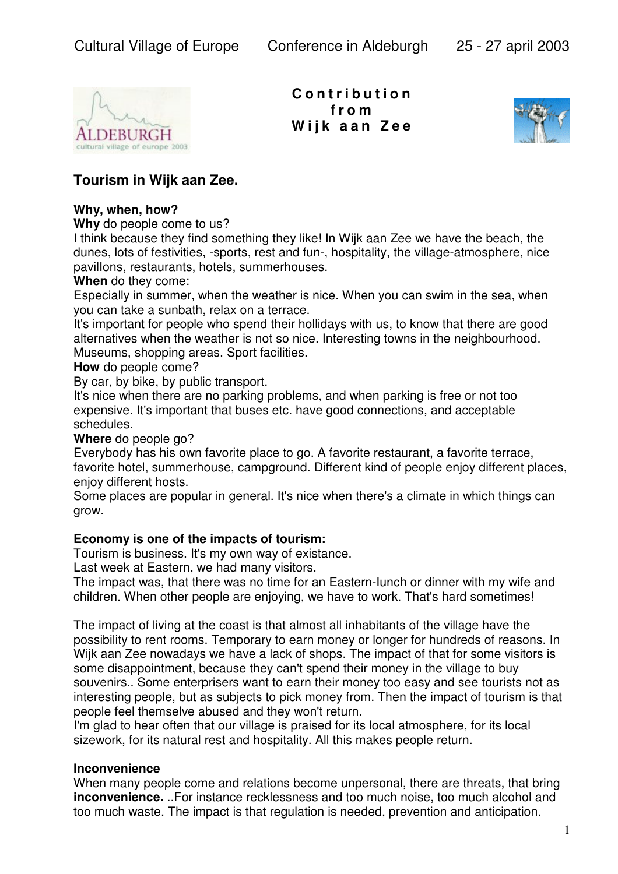

**C o n t r i b u t i o n f r o m W i j k a a n Z e e**



# **Tourism in Wijk aan Zee.**

#### **Why, when, how?**

**Why** do people come to us?

I think because they find something they like! In Wijk aan Zee we have the beach, the dunes, lots of festivities, -sports, rest and fun-, hospitality, the village-atmosphere, nice pavilIons, restaurants, hotels, summerhouses.

**When** do they come:

Especially in summer, when the weather is nice. When you can swim in the sea, when you can take a sunbath, relax on a terrace.

It's important for people who spend their hollidays with us, to know that there are good alternatives when the weather is not so nice. Interesting towns in the neighbourhood. Museums, shopping areas. Sport facilities.

**How** do people come?

By car, by bike, by public transport.

It's nice when there are no parking problems, and when parking is free or not too expensive. It's important that buses etc. have good connections, and acceptable schedules.

**Where** do people go?

Everybody has his own favorite place to go. A favorite restaurant, a favorite terrace, favorite hotel, summerhouse, campground. Different kind of people enjoy different places, enjoy different hosts.

Some places are popular in general. It's nice when there's a climate in which things can grow.

### **Economy is one of the impacts of tourism:**

Tourism is business. It's my own way of existance.

Last week at Eastern, we had many visitors.

The impact was, that there was no time for an Eastern-Iunch or dinner with my wife and children. When other people are enjoying, we have to work. That's hard sometimes!

The impact of living at the coast is that almost all inhabitants of the village have the possibility to rent rooms. Temporary to earn money or longer for hundreds of reasons. In Wijk aan Zee nowadays we have a lack of shops. The impact of that for some visitors is some disappointment, because they can't spend their money in the village to buy souvenirs.. Some enterprisers want to earn their money too easy and see tourists not as interesting people, but as subjects to pick money from. Then the impact of tourism is that people feel themselve abused and they won't return.

I'm glad to hear often that our village is praised for its local atmosphere, for its local sizework, for its natural rest and hospitality. All this makes people return.

### **Inconvenience**

When many people come and relations become unpersonal, there are threats, that bring **inconvenience.** ..For instance recklessness and too much noise, too much alcohol and too much waste. The impact is that regulation is needed, prevention and anticipation.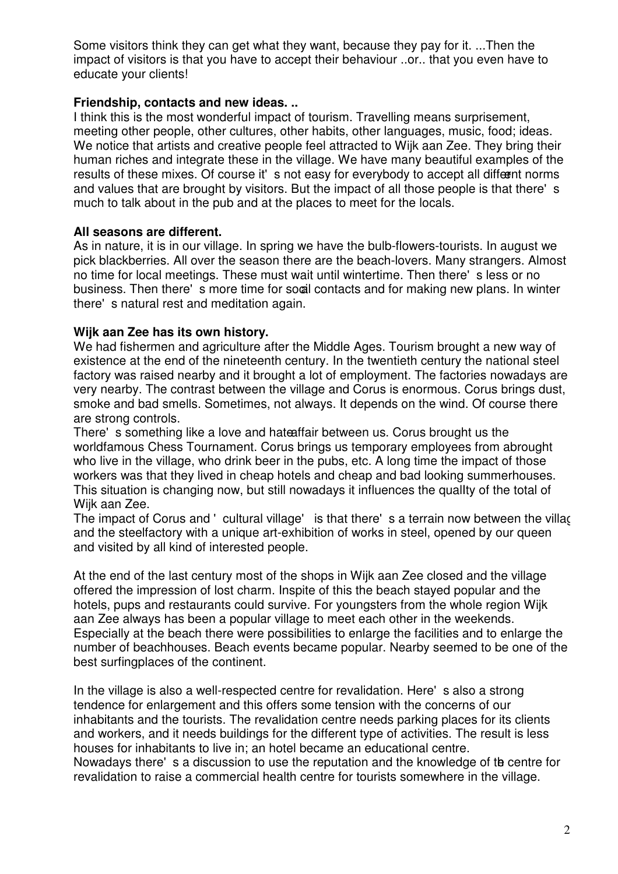Some visitors think they can get what they want, because they pay for it. ...Then the impact of visitors is that you have to accept their behaviour ..or.. that you even have to educate your clients!

## **Friendship, contacts and new ideas. ..**

I think this is the most wonderful impact of tourism. Travelling means surprisement, meeting other people, other cultures, other habits, other languages, music, food; ideas. We notice that artists and creative people feel attracted to Wijk aan Zee. They bring their human riches and integrate these in the village. We have many beautiful examples of the results of these mixes. Of course it's not easy for everybody to accept all different norms and values that are brought by visitors. But the impact of all those people is that there's much to talk about in the pub and at the places to meet for the locals.

## **All seasons are different.**

As in nature, it is in our village. In spring we have the bulb-flowers-tourists. In august we pick blackberries. All over the season there are the beach-lovers. Many strangers. Almost no time for local meetings. These must wait until wintertime. Then there's less or no business. Then there's more time for socal contacts and for making new plans. In winter there's natural rest and meditation again.

### **Wijk aan Zee has its own history.**

We had fishermen and agriculture after the Middle Ages. Tourism brought a new way of existence at the end of the nineteenth century. In the twentieth century the national steel factory was raised nearby and it brought a lot of employment. The factories nowadays are very nearby. The contrast between the village and Corus is enormous. Corus brings dust, smoke and bad smells. Sometimes, not always. It depends on the wind. Of course there are strong controls.

There's something like a love and hateaffair between us. Corus brought us the worldfamous Chess Tournament. Corus brings us temporary employees from abrought who live in the village, who drink beer in the pubs, etc. A long time the impact of those workers was that they lived in cheap hotels and cheap and bad looking summerhouses. This situation is changing now, but still nowadays it influences the quality of the total of Wijk aan Zee.

The impact of Corus and ' cultural village' is that there's a terrain now between the village and the steelfactory with a unique art-exhibition of works in steel, opened by our queen and visited by all kind of interested people.

At the end of the last century most of the shops in Wijk aan Zee closed and the village offered the impression of lost charm. Inspite of this the beach stayed popular and the hotels, pups and restaurants could survive. For youngsters from the whole region Wijk aan Zee always has been a popular village to meet each other in the weekends. Especially at the beach there were possibilities to enlarge the facilities and to enlarge the number of beachhouses. Beach events became popular. Nearby seemed to be one of the best surfingplaces of the continent.

In the village is also a well-respected centre for revalidation. Here's also a strong tendence for enlargement and this offers some tension with the concerns of our inhabitants and the tourists. The revalidation centre needs parking places for its clients and workers, and it needs buildings for the different type of activities. The result is less houses for inhabitants to live in; an hotel became an educational centre. Nowadays there's a discussion to use the reputation and the knowledge of the centre for revalidation to raise a commercial health centre for tourists somewhere in the village.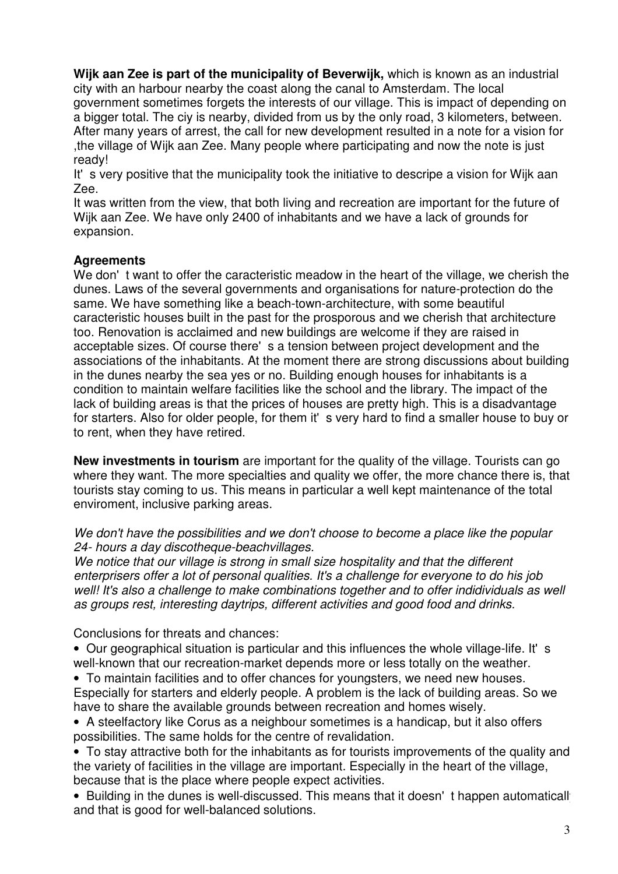**Wijk aan Zee is part of the municipality of Beverwijk,** which is known as an industrial city with an harbour nearby the coast along the canal to Amsterdam. The local government sometimes forgets the interests of our village. This is impact of depending on a bigger total. The ciy is nearby, divided from us by the only road, 3 kilometers, between. After many years of arrest, the call for new development resulted in a note for a vision for ,the village of Wijk aan Zee. Many people where participating and now the note is just ready!

It's very positive that the municipality took the initiative to descripe a vision for Wijk aan Zee.

It was written from the view, that both living and recreation are important for the future of Wijk aan Zee. We have only 2400 of inhabitants and we have a lack of grounds for expansion.

## **Agreements**

We don't want to offer the caracteristic meadow in the heart of the village, we cherish the dunes. Laws of the several governments and organisations for nature-protection do the same. We have something like a beach-town-architecture, with some beautiful caracteristic houses built in the past for the prosporous and we cherish that architecture too. Renovation is acclaimed and new buildings are welcome if they are raised in acceptable sizes. Of course there's a tension between project development and the associations of the inhabitants. At the moment there are strong discussions about building in the dunes nearby the sea yes or no. Building enough houses for inhabitants is a condition to maintain welfare facilities like the school and the library. The impact of the lack of building areas is that the prices of houses are pretty high. This is a disadvantage for starters. Also for older people, for them it's very hard to find a smaller house to buy or to rent, when they have retired.

**New investments in tourism** are important for the quality of the village. Tourists can go where they want. The more specialties and quality we offer, the more chance there is, that tourists stay coming to us. This means in particular a well kept maintenance of the total enviroment, inclusive parking areas.

*We don't have the possibilities and we don't choose to become a place like the popular 24- hours a day discotheque-beachvillages.*

*We notice that our village is strong in small size hospitality and that the different enterprisers offer a lot of personal qualities. It's a challenge for everyone to do his job well! It's also a challenge to make combinations together and to offer indidividuals as well as groups rest, interesting daytrips, different activities and good food and drinks.*

Conclusions for threats and chances:

• Our geographical situation is particular and this influences the whole village-life. It's well-known that our recreation-market depends more or less totally on the weather.

• To maintain facilities and to offer chances for youngsters, we need new houses. Especially for starters and elderly people. A problem is the lack of building areas. So we have to share the available grounds between recreation and homes wisely.

• A steelfactory like Corus as a neighbour sometimes is a handicap, but it also offers possibilities. The same holds for the centre of revalidation.

• To stay attractive both for the inhabitants as for tourists improvements of the quality and the variety of facilities in the village are important. Especially in the heart of the village, because that is the place where people expect activities.

• Building in the dunes is well-discussed. This means that it doesn't happen automaticall and that is good for well-balanced solutions.